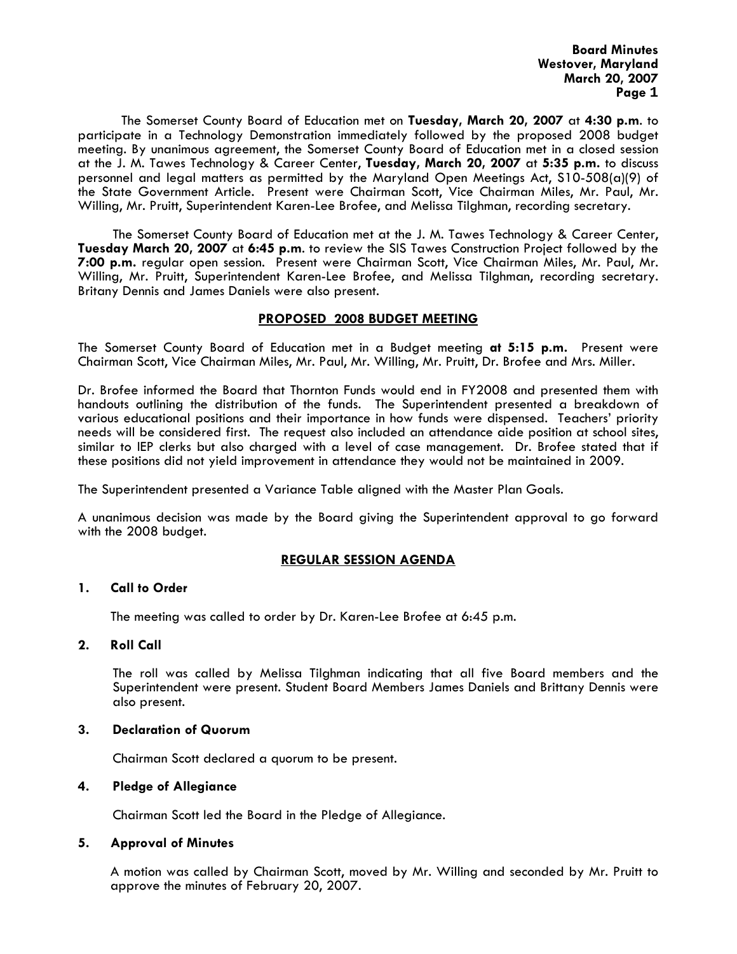The Somerset County Board of Education met on **Tuesday, March 20, 2007** at **4:30 p.m**. to participate in a Technology Demonstration immediately followed by the proposed 2008 budget meeting. By unanimous agreement, the Somerset County Board of Education met in a closed session at the J. M. Tawes Technology & Career Center, **Tuesday, March 20, 2007** at **5:35 p.m.** to discuss personnel and legal matters as permitted by the Maryland Open Meetings Act, S10-508(a)(9) of the State Government Article. Present were Chairman Scott, Vice Chairman Miles, Mr. Paul, Mr. Willing, Mr. Pruitt, Superintendent Karen-Lee Brofee, and Melissa Tilghman, recording secretary.

The Somerset County Board of Education met at the J. M. Tawes Technology & Career Center, **Tuesday March 20, 2007** at **6:45 p.m**. to review the SIS Tawes Construction Project followed by the **7:00 p.m.** regular open session. Present were Chairman Scott, Vice Chairman Miles, Mr. Paul, Mr. Willing, Mr. Pruitt, Superintendent Karen-Lee Brofee, and Melissa Tilghman, recording secretary. Britany Dennis and James Daniels were also present.

### **PROPOSED 2008 BUDGET MEETING**

The Somerset County Board of Education met in a Budget meeting **at 5:15 p.m.** Present were Chairman Scott, Vice Chairman Miles, Mr. Paul, Mr. Willing, Mr. Pruitt, Dr. Brofee and Mrs. Miller.

Dr. Brofee informed the Board that Thornton Funds would end in FY2008 and presented them with handouts outlining the distribution of the funds. The Superintendent presented a breakdown of various educational positions and their importance in how funds were dispensed. Teachers' priority needs will be considered first. The request also included an attendance aide position at school sites, similar to IEP clerks but also charged with a level of case management. Dr. Brofee stated that if these positions did not yield improvement in attendance they would not be maintained in 2009.

The Superintendent presented a Variance Table aligned with the Master Plan Goals.

A unanimous decision was made by the Board giving the Superintendent approval to go forward with the 2008 budget.

### **REGULAR SESSION AGENDA**

### **1. Call to Order**

The meeting was called to order by Dr. Karen-Lee Brofee at 6:45 p.m.

### **2. Roll Call**

The roll was called by Melissa Tilghman indicating that all five Board members and the Superintendent were present. Student Board Members James Daniels and Brittany Dennis were also present.

### **3. Declaration of Quorum**

Chairman Scott declared a quorum to be present.

### **4. Pledge of Allegiance**

Chairman Scott led the Board in the Pledge of Allegiance.

### **5. Approval of Minutes**

 A motion was called by Chairman Scott, moved by Mr. Willing and seconded by Mr. Pruitt to approve the minutes of February 20, 2007.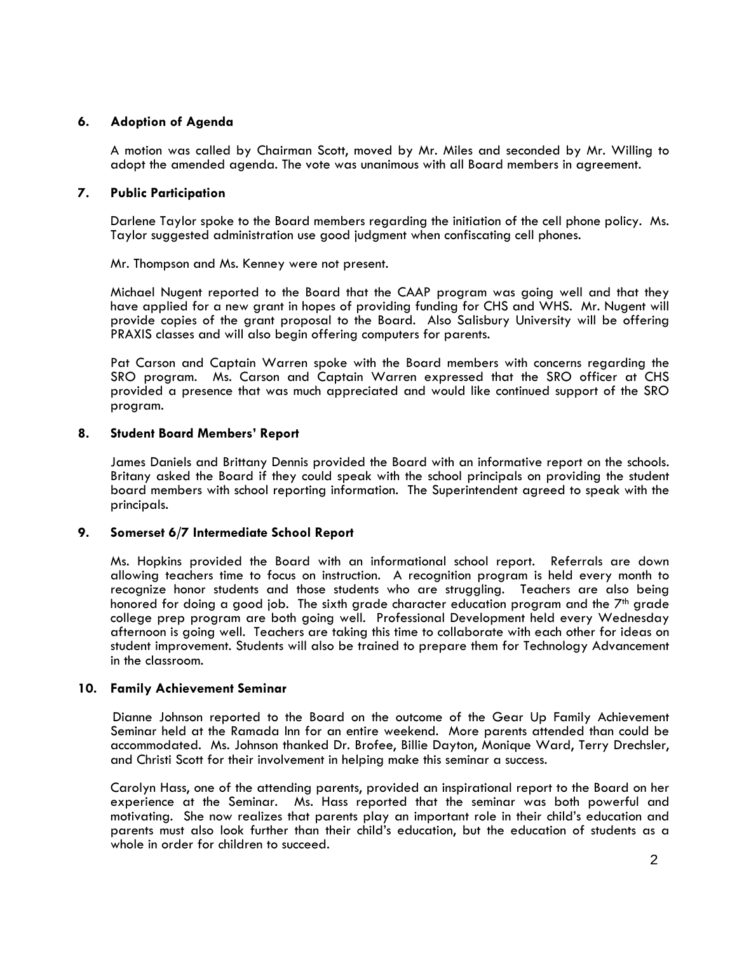# **6. Adoption of Agenda**

 A motion was called by Chairman Scott, moved by Mr. Miles and seconded by Mr. Willing to adopt the amended agenda. The vote was unanimous with all Board members in agreement.

## **7. Public Participation**

Darlene Taylor spoke to the Board members regarding the initiation of the cell phone policy. Ms. Taylor suggested administration use good judgment when confiscating cell phones.

Mr. Thompson and Ms. Kenney were not present.

Michael Nugent reported to the Board that the CAAP program was going well and that they have applied for a new grant in hopes of providing funding for CHS and WHS. Mr. Nugent will provide copies of the grant proposal to the Board. Also Salisbury University will be offering PRAXIS classes and will also begin offering computers for parents.

Pat Carson and Captain Warren spoke with the Board members with concerns regarding the SRO program. Ms. Carson and Captain Warren expressed that the SRO officer at CHS provided a presence that was much appreciated and would like continued support of the SRO program.

## **8. Student Board Members' Report**

James Daniels and Brittany Dennis provided the Board with an informative report on the schools. Britany asked the Board if they could speak with the school principals on providing the student board members with school reporting information. The Superintendent agreed to speak with the principals.

## **9. Somerset 6/7 Intermediate School Report**

Ms. Hopkins provided the Board with an informational school report. Referrals are down allowing teachers time to focus on instruction. A recognition program is held every month to recognize honor students and those students who are struggling. Teachers are also being honored for doing a good job. The sixth grade character education program and the  $7<sup>th</sup>$  grade college prep program are both going well. Professional Development held every Wednesday afternoon is going well. Teachers are taking this time to collaborate with each other for ideas on student improvement. Students will also be trained to prepare them for Technology Advancement in the classroom.

### **10. Family Achievement Seminar**

Dianne Johnson reported to the Board on the outcome of the Gear Up Family Achievement Seminar held at the Ramada Inn for an entire weekend. More parents attended than could be accommodated. Ms. Johnson thanked Dr. Brofee, Billie Dayton, Monique Ward, Terry Drechsler, and Christi Scott for their involvement in helping make this seminar a success.

Carolyn Hass, one of the attending parents, provided an inspirational report to the Board on her experience at the Seminar. Ms. Hass reported that the seminar was both powerful and motivating. She now realizes that parents play an important role in their child's education and parents must also look further than their child's education, but the education of students as a whole in order for children to succeed.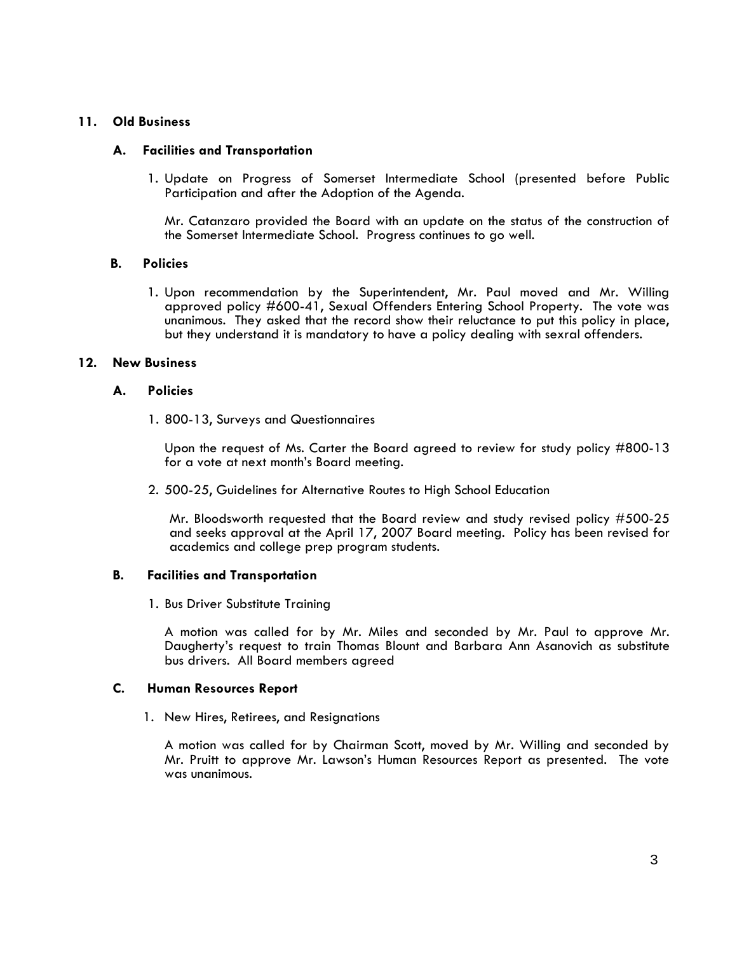## **11. Old Business**

### **A. Facilities and Transportation**

1. Update on Progress of Somerset Intermediate School (presented before Public Participation and after the Adoption of the Agenda.

Mr. Catanzaro provided the Board with an update on the status of the construction of the Somerset Intermediate School. Progress continues to go well.

### **B. Policies**

 1. Upon recommendation by the Superintendent, Mr. Paul moved and Mr. Willing approved policy #600-41, Sexual Offenders Entering School Property. The vote was unanimous. They asked that the record show their reluctance to put this policy in place, but they understand it is mandatory to have a policy dealing with sexral offenders.

### **12. New Business**

### **A. Policies**

1. 800-13, Surveys and Questionnaires

Upon the request of Ms. Carter the Board agreed to review for study policy #800-13 for a vote at next month's Board meeting.

2. 500-25, Guidelines for Alternative Routes to High School Education

Mr. Bloodsworth requested that the Board review and study revised policy #500-25 and seeks approval at the April 17, 2007 Board meeting. Policy has been revised for academics and college prep program students.

### **B. Facilities and Transportation**

1. Bus Driver Substitute Training

A motion was called for by Mr. Miles and seconded by Mr. Paul to approve Mr. Daugherty's request to train Thomas Blount and Barbara Ann Asanovich as substitute bus drivers. All Board members agreed

## **C. Human Resources Report**

1. New Hires, Retirees, and Resignations

A motion was called for by Chairman Scott, moved by Mr. Willing and seconded by Mr. Pruitt to approve Mr. Lawson's Human Resources Report as presented. The vote was unanimous.